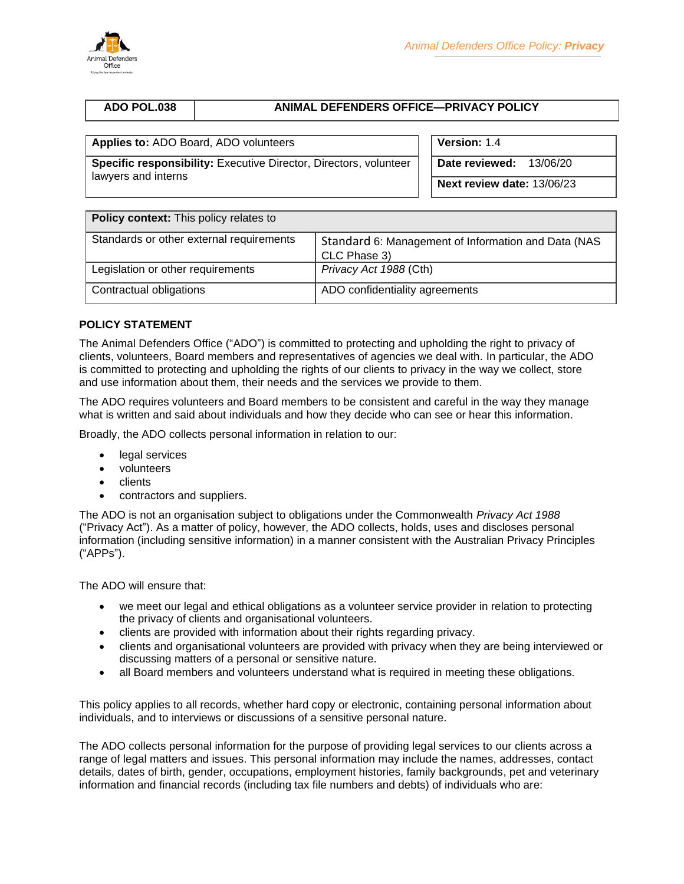

# **ADO POL.038 ANIMAL DEFENDERS OFFICE—PRIVACY POLICY**

# **Applies to:** ADO Board, ADO volunteers **Version:** 1.4

**Specific responsibility:** Executive Director, Directors, volunteer lawyers and interns

**Date reviewed:** 13/06/20

**Next review date:** 13/06/23

| Policy context: This policy relates to   |                                                                     |  |  |
|------------------------------------------|---------------------------------------------------------------------|--|--|
| Standards or other external requirements | Standard 6: Management of Information and Data (NAS<br>CLC Phase 3) |  |  |
| Legislation or other requirements        | Privacy Act 1988 (Cth)                                              |  |  |
| Contractual obligations                  | ADO confidentiality agreements                                      |  |  |

## **POLICY STATEMENT**

The Animal Defenders Office ("ADO") is committed to protecting and upholding the right to privacy of clients, volunteers, Board members and representatives of agencies we deal with. In particular, the ADO is committed to protecting and upholding the rights of our clients to privacy in the way we collect, store and use information about them, their needs and the services we provide to them.

The ADO requires volunteers and Board members to be consistent and careful in the way they manage what is written and said about individuals and how they decide who can see or hear this information.

Broadly, the ADO collects personal information in relation to our:

- legal services
- volunteers
- clients
- contractors and suppliers.

The ADO is not an organisation subject to obligations under the Commonwealth *Privacy Act 1988* ("Privacy Act"). As a matter of policy, however, the ADO collects, holds, uses and discloses personal information (including sensitive information) in a manner consistent with the Australian Privacy Principles ("APPs").

The ADO will ensure that:

- we meet our legal and ethical obligations as a volunteer service provider in relation to protecting the privacy of clients and organisational volunteers.
- clients are provided with information about their rights regarding privacy.
- clients and organisational volunteers are provided with privacy when they are being interviewed or discussing matters of a personal or sensitive nature.
- all Board members and volunteers understand what is required in meeting these obligations.

This policy applies to all records, whether hard copy or electronic, containing personal information about individuals, and to interviews or discussions of a sensitive personal nature.

The ADO collects personal information for the purpose of providing legal services to our clients across a range of legal matters and issues. This personal information may include the names, addresses, contact details, dates of birth, gender, occupations, employment histories, family backgrounds, pet and veterinary information and financial records (including tax file numbers and debts) of individuals who are: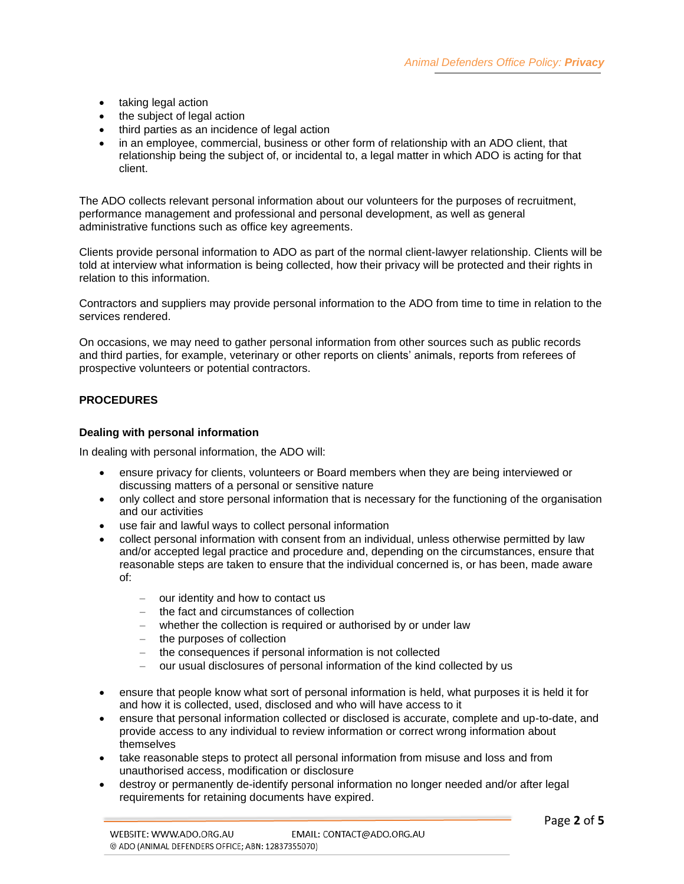- taking legal action
- the subject of legal action
- third parties as an incidence of legal action
- in an employee, commercial, business or other form of relationship with an ADO client, that relationship being the subject of, or incidental to, a legal matter in which ADO is acting for that client.

The ADO collects relevant personal information about our volunteers for the purposes of recruitment, performance management and professional and personal development, as well as general administrative functions such as office key agreements.

Clients provide personal information to ADO as part of the normal client-lawyer relationship. Clients will be told at interview what information is being collected, how their privacy will be protected and their rights in relation to this information.

Contractors and suppliers may provide personal information to the ADO from time to time in relation to the services rendered.

On occasions, we may need to gather personal information from other sources such as public records and third parties, for example, veterinary or other reports on clients' animals, reports from referees of prospective volunteers or potential contractors.

## **PROCEDURES**

### **Dealing with personal information**

In dealing with personal information, the ADO will:

- ensure privacy for clients, volunteers or Board members when they are being interviewed or discussing matters of a personal or sensitive nature
- only collect and store personal information that is necessary for the functioning of the organisation and our activities
- use fair and lawful ways to collect personal information
- collect personal information with consent from an individual, unless otherwise permitted by law and/or accepted legal practice and procedure and, depending on the circumstances, ensure that reasonable steps are taken to ensure that the individual concerned is, or has been, made aware of:
	- − our identity and how to contact us
	- − the fact and circumstances of collection
	- − whether the collection is required or authorised by or under law
	- − the purposes of collection
	- − the consequences if personal information is not collected
	- − our usual disclosures of personal information of the kind collected by us
- ensure that people know what sort of personal information is held, what purposes it is held it for and how it is collected, used, disclosed and who will have access to it
- ensure that personal information collected or disclosed is accurate, complete and up-to-date, and provide access to any individual to review information or correct wrong information about themselves
- take reasonable steps to protect all personal information from misuse and loss and from unauthorised access, modification or disclosure
- destroy or permanently de-identify personal information no longer needed and/or after legal requirements for retaining documents have expired.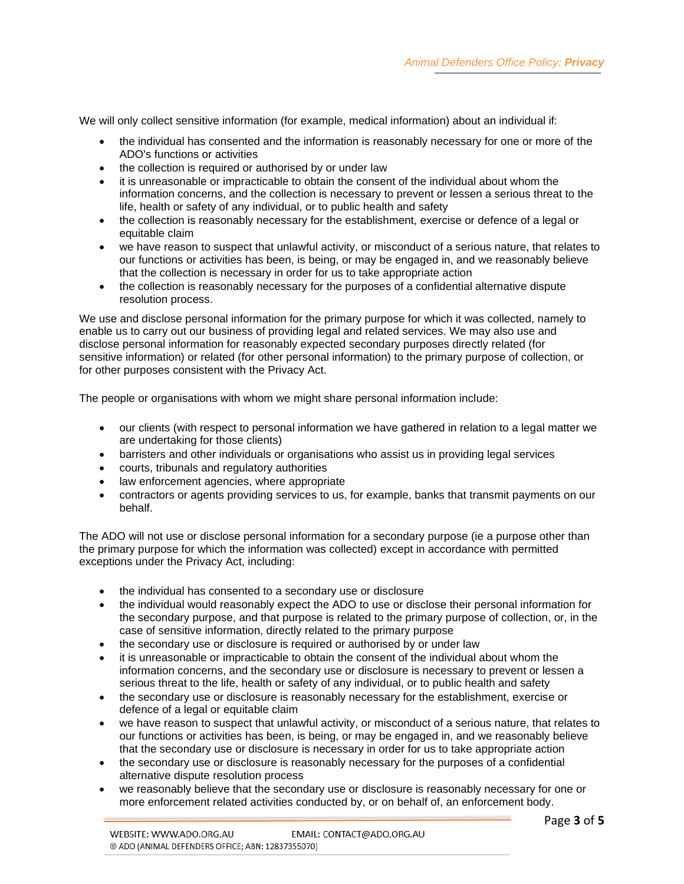We will only collect sensitive information (for example, medical information) about an individual if:

- the individual has consented and the information is reasonably necessary for one or more of the ADO's functions or activities
- the collection is required or authorised by or under law
- it is unreasonable or impracticable to obtain the consent of the individual about whom the information concerns, and the collection is necessary to prevent or lessen a serious threat to the life, health or safety of any individual, or to public health and safety
- the collection is reasonably necessary for the establishment, exercise or defence of a legal or equitable claim
- we have reason to suspect that unlawful activity, or misconduct of a serious nature, that relates to our functions or activities has been, is being, or may be engaged in, and we reasonably believe that the collection is necessary in order for us to take appropriate action
- the collection is reasonably necessary for the purposes of a confidential alternative dispute resolution process.

We use and disclose personal information for the primary purpose for which it was collected, namely to enable us to carry out our business of providing legal and related services. We may also use and disclose personal information for reasonably expected secondary purposes directly related (for sensitive information) or related (for other personal information) to the primary purpose of collection, or for other purposes consistent with the Privacy Act.

The people or organisations with whom we might share personal information include:

- our clients (with respect to personal information we have gathered in relation to a legal matter we are undertaking for those clients)
- barristers and other individuals or organisations who assist us in providing legal services
- courts, tribunals and regulatory authorities
- law enforcement agencies, where appropriate
- contractors or agents providing services to us, for example, banks that transmit payments on our behalf.

The ADO will not use or disclose personal information for a secondary purpose (ie a purpose other than the primary purpose for which the information was collected) except in accordance with permitted exceptions under the Privacy Act, including:

- the individual has consented to a secondary use or disclosure
- the individual would reasonably expect the ADO to use or disclose their personal information for the secondary purpose, and that purpose is related to the primary purpose of collection, or, in the case of sensitive information, directly related to the primary purpose
- the secondary use or disclosure is required or authorised by or under law
- it is unreasonable or impracticable to obtain the consent of the individual about whom the information concerns, and the secondary use or disclosure is necessary to prevent or lessen a serious threat to the life, health or safety of any individual, or to public health and safety
- the secondary use or disclosure is reasonably necessary for the establishment, exercise or defence of a legal or equitable claim
- we have reason to suspect that unlawful activity, or misconduct of a serious nature, that relates to our functions or activities has been, is being, or may be engaged in, and we reasonably believe that the secondary use or disclosure is necessary in order for us to take appropriate action
- the secondary use or disclosure is reasonably necessary for the purposes of a confidential alternative dispute resolution process
- we reasonably believe that the secondary use or disclosure is reasonably necessary for one or more enforcement related activities conducted by, or on behalf of, an enforcement body.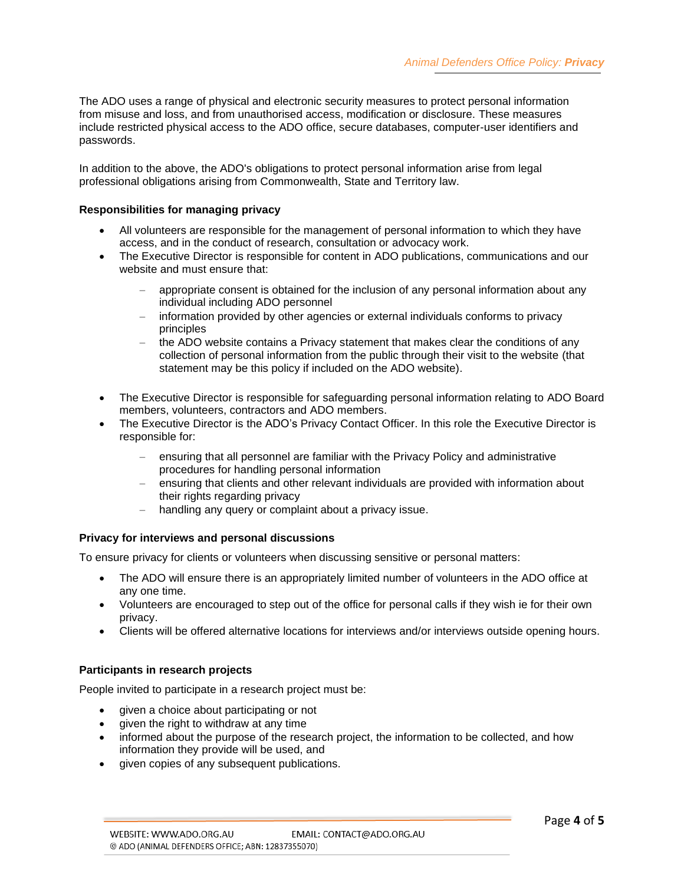The ADO uses a range of physical and electronic security measures to protect personal information from misuse and loss, and from unauthorised access, modification or disclosure. These measures include restricted physical access to the ADO office, secure databases, computer-user identifiers and passwords.

In addition to the above, the ADO's obligations to protect personal information arise from legal professional obligations arising from Commonwealth, State and Territory law.

### **Responsibilities for managing privacy**

- All volunteers are responsible for the management of personal information to which they have access, and in the conduct of research, consultation or advocacy work.
- The Executive Director is responsible for content in ADO publications, communications and our website and must ensure that:
	- − appropriate consent is obtained for the inclusion of any personal information about any individual including ADO personnel
	- − information provided by other agencies or external individuals conforms to privacy principles
	- the ADO website contains a Privacy statement that makes clear the conditions of any collection of personal information from the public through their visit to the website (that statement may be this policy if included on the ADO website).
- The Executive Director is responsible for safeguarding personal information relating to ADO Board members, volunteers, contractors and ADO members.
- The Executive Director is the ADO's Privacy Contact Officer. In this role the Executive Director is responsible for:
	- − ensuring that all personnel are familiar with the Privacy Policy and administrative procedures for handling personal information
	- ensuring that clients and other relevant individuals are provided with information about their rights regarding privacy
	- − handling any query or complaint about a privacy issue.

#### **Privacy for interviews and personal discussions**

To ensure privacy for clients or volunteers when discussing sensitive or personal matters:

- The ADO will ensure there is an appropriately limited number of volunteers in the ADO office at any one time.
- Volunteers are encouraged to step out of the office for personal calls if they wish ie for their own privacy.
- Clients will be offered alternative locations for interviews and/or interviews outside opening hours.

### **Participants in research projects**

People invited to participate in a research project must be:

- given a choice about participating or not
- given the right to withdraw at any time
- informed about the purpose of the research project, the information to be collected, and how information they provide will be used, and
- given copies of any subsequent publications.